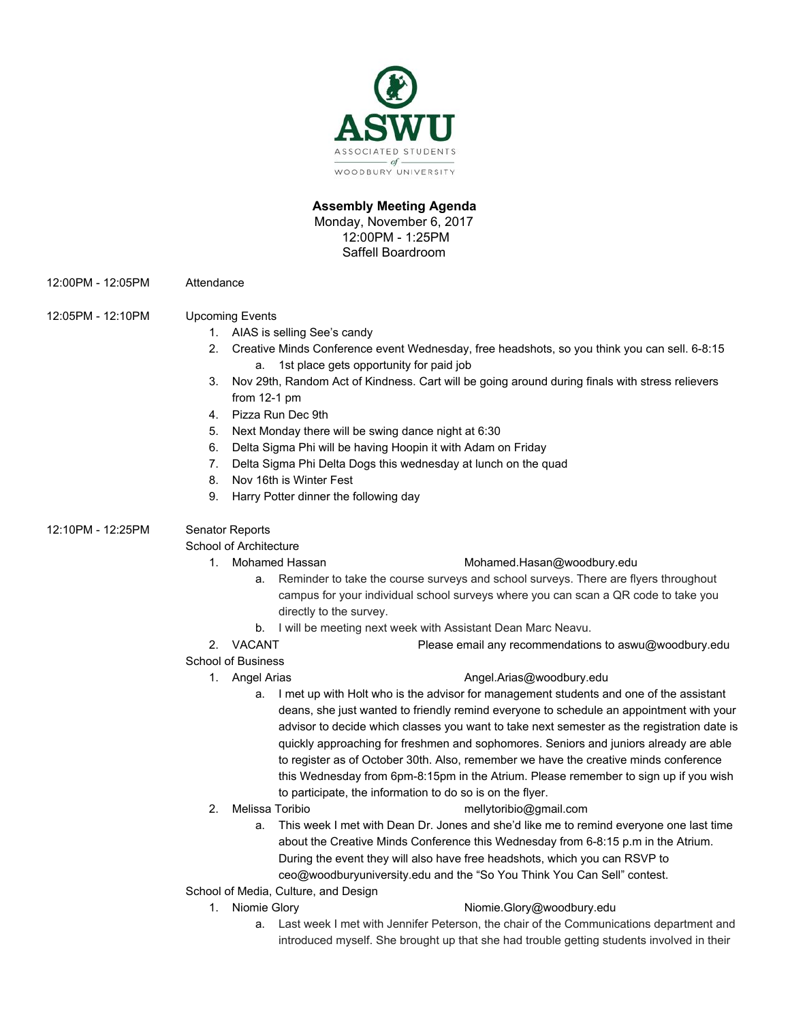

## **Assembly Meeting Agenda** Monday, November 6, 2017 12:00PM - 1:25PM

Saffell Boardroom

12:00PM - 12:05PM Attendance

## 12:05PM - 12:10PM Upcoming Events

- 1. AIAS is selling See's candy
- 2. Creative Minds Conference event Wednesday, free headshots, so you think you can sell. 6-8:15 a. 1st place gets opportunity for paid job
- 3. Nov 29th, Random Act of Kindness. Cart will be going around during finals with stress relievers from 12-1 pm
- 4. Pizza Run Dec 9th
- 5. Next Monday there will be swing dance night at 6:30
- 6. Delta Sigma Phi will be having Hoopin it with Adam on Friday
- 7. Delta Sigma Phi Delta Dogs this wednesday at lunch on the quad
- 8. Nov 16th is Winter Fest
- 9. Harry Potter dinner the following day

## 12:10PM - 12:25PM Senator Reports

## School of Architecture

## 1. Mohamed Hassan [Mohamed.Hasan@woodbury.edu](mailto:Mohamed.Hasan@woodbury.edu)

- a. Reminder to take the course surveys and school surveys. There are flyers throughout campus for your individual school surveys where you can scan a QR code to take you directly to the survey.
- b. I will be meeting next week with Assistant Dean Marc Neavu.
- 2. VACANT Please email any recommendations to aswu@woodbury.edu

## School of Business

## 1. Angel Arias **[Angel.Arias@woodbury.edu](mailto:Angel.Arias@woodbury.edu)**

- a. I met up with Holt who is the advisor for management students and one of the assistant deans, she just wanted to friendly remind everyone to schedule an appointment with your advisor to decide which classes you want to take next semester as the registration date is quickly approaching for freshmen and sophomores. Seniors and juniors already are able to register as of October 30th. Also, remember we have the creative minds conference this Wednesday from 6pm-8:15pm in the Atrium. Please remember to sign up if you wish to participate, the information to do so is on the flyer.
- 
- 2. Melissa Toribio mellytoribio@gmail.com
	- a. This week I met with Dean Dr. Jones and she'd like me to remind everyone one last time about the Creative Minds Conference this Wednesday from 6-8:15 p.m in the Atrium. During the event they will also have free headshots, which you can RSVP to ceo@woodburyuniversity.edu and the "So You Think You Can Sell" contest.
- School of Media, Culture, and Design

# 1. Niomie Glory **Niomie.Glory@woodbury.edu**

a. Last week I met with Jennifer Peterson, the chair of the Communications department and introduced myself. She brought up that she had trouble getting students involved in their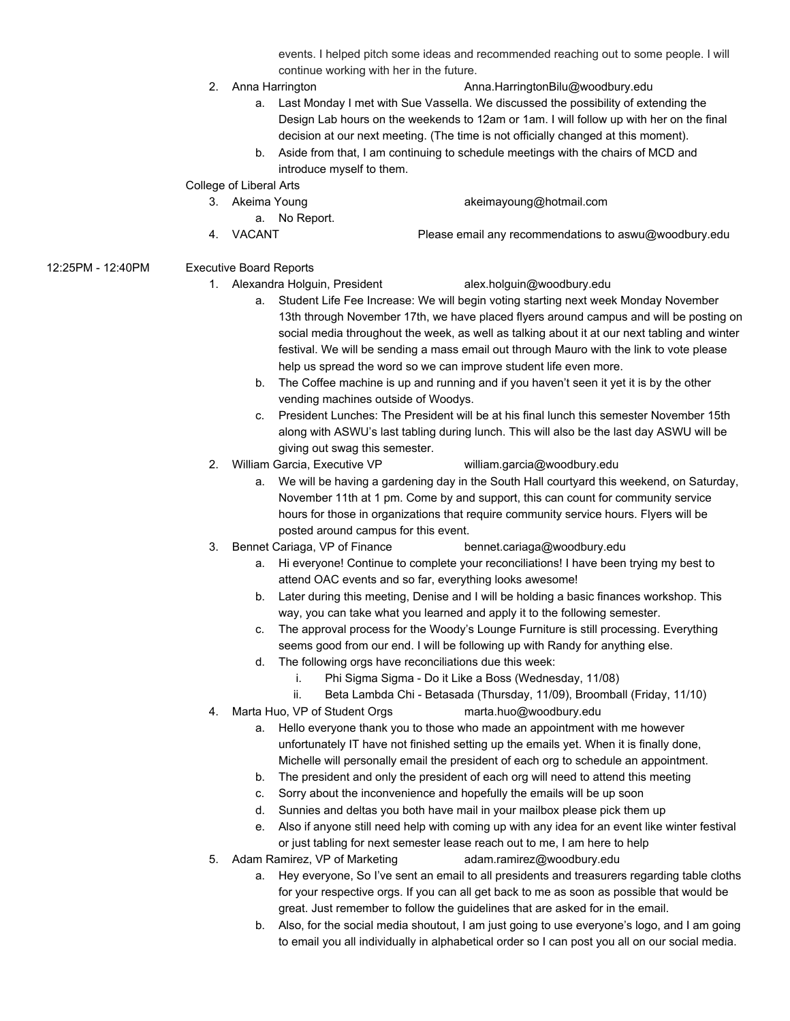events. I helped pitch some ideas and recommended reaching out to some people. I will continue working with her in the future.

- 
- 2. Anna Harrington **Anna.HarringtonBilu@woodbury.edu** 
	- a. Last Monday I met with Sue Vassella. We discussed the possibility of extending the Design Lab hours on the weekends to 12am or 1am. I will follow up with her on the final decision at our next meeting. (The time is not officially changed at this moment).
	- b. Aside from that, I am continuing to schedule meetings with the chairs of MCD and introduce myself to them.

## College of Liberal Arts

- 3. Akeima Young akeimayoung@hotmail.com
	- a. No Report.
- 4. VACANT Please email any recommendations to aswu@woodbury.edu

## 12:25PM - 12:40PM Executive Board Reports

1. Alexandra Holguin, President alex.holguin@woodbury.edu

- a. Student Life Fee Increase: We will begin voting starting next week Monday November 13th through November 17th, we have placed flyers around campus and will be posting on social media throughout the week, as well as talking about it at our next tabling and winter festival. We will be sending a mass email out through Mauro with the link to vote please help us spread the word so we can improve student life even more.
- b. The Coffee machine is up and running and if you haven't seen it yet it is by the other vending machines outside of Woodys.
- c. President Lunches: The President will be at his final lunch this semester November 15th along with ASWU's last tabling during lunch. This will also be the last day ASWU will be giving out swag this semester.
- 2. William Garcia, Executive VP william.garcia@woodbury.edu
	-
	- a. We will be having a gardening day in the South Hall courtyard this weekend, on Saturday, November 11th at 1 pm. Come by and support, this can count for community service hours for those in organizations that require community service hours. Flyers will be posted around campus for this event.
- 3. Bennet Cariaga, VP of Finance bennet.cariaga@woodbury.edu
	- a. Hi everyone! Continue to complete your reconciliations! I have been trying my best to attend OAC events and so far, everything looks awesome!
	- b. Later during this meeting, Denise and I will be holding a basic finances workshop. This way, you can take what you learned and apply it to the following semester.
	- c. The approval process for the Woody's Lounge Furniture is still processing. Everything seems good from our end. I will be following up with Randy for anything else.
	- d. The following orgs have reconciliations due this week:
		- i. Phi Sigma Sigma Do it Like a Boss (Wednesday, 11/08)
		- ii. Beta Lambda Chi Betasada (Thursday, 11/09), Broomball (Friday, 11/10)
- 4. Marta Huo, VP of Student Orgs marta.huo@woodbury.edu
	- a. Hello everyone thank you to those who made an appointment with me however unfortunately IT have not finished setting up the emails yet. When it is finally done, Michelle will personally email the president of each org to schedule an appointment.
	- b. The president and only the president of each org will need to attend this meeting
	- c. Sorry about the inconvenience and hopefully the emails will be up soon
	- d. Sunnies and deltas you both have mail in your mailbox please pick them up
	- e. Also if anyone still need help with coming up with any idea for an event like winter festival or just tabling for next semester lease reach out to me, I am here to help
- 5. Adam Ramirez, VP of Marketing adam.ramirez@woodbury.edu
	- a. Hey everyone, So I've sent an email to all presidents and treasurers regarding table cloths for your respective orgs. If you can all get back to me as soon as possible that would be great. Just remember to follow the guidelines that are asked for in the email.
	- b. Also, for the social media shoutout, I am just going to use everyone's logo, and I am going to email you all individually in alphabetical order so I can post you all on our social media.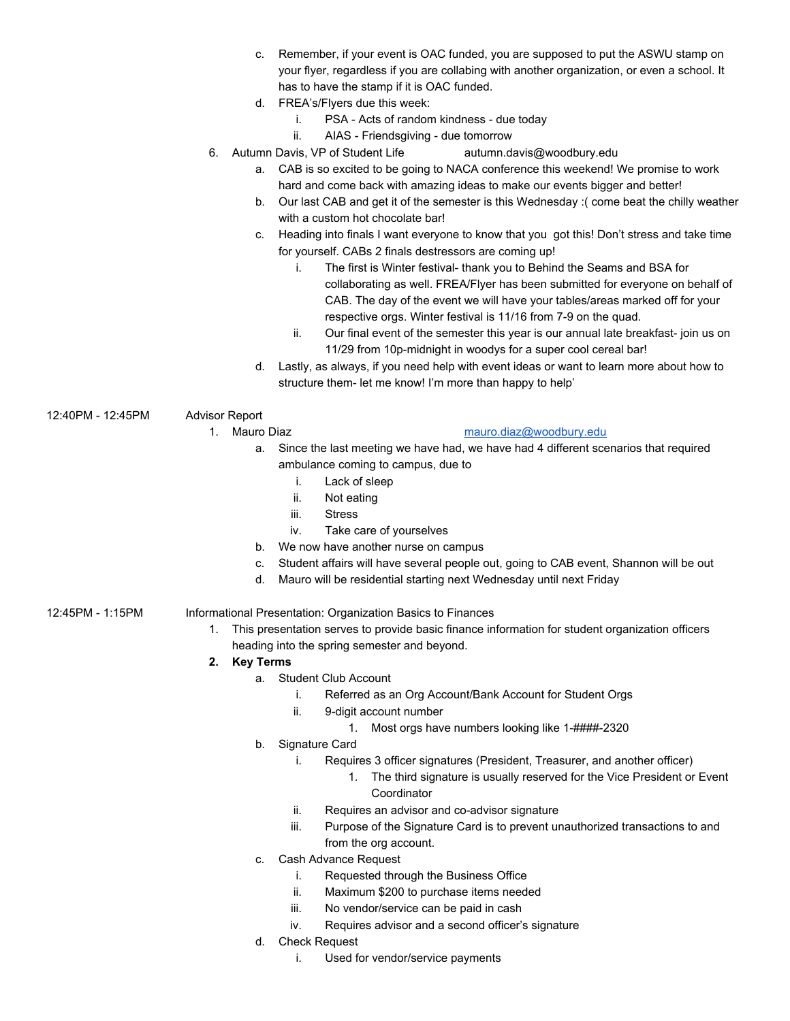- c. Remember, if your event is OAC funded, you are supposed to put the ASWU stamp on your flyer, regardless if you are collabing with another organization, or even a school. It has to have the stamp if it is OAC funded.
- d. FREA's/Flyers due this week:
	- i. PSA Acts of random kindness due today
	- ii. AIAS Friendsgiving due tomorrow
- 6. Autumn Davis, VP of Student Life autumn.davis@woodbury.edu
	- a. CAB is so excited to be going to NACA conference this weekend! We promise to work hard and come back with amazing ideas to make our events bigger and better!
	- b. Our last CAB and get it of the semester is this Wednesday :( come beat the chilly weather with a custom hot chocolate bar!
	- c. Heading into finals I want everyone to know that you got this! Don't stress and take time for yourself. CABs 2 finals destressors are coming up!
		- i. The first is Winter festival- thank you to Behind the Seams and BSA for collaborating as well. FREA/Flyer has been submitted for everyone on behalf of CAB. The day of the event we will have your tables/areas marked off for your respective orgs. Winter festival is 11/16 from 7-9 on the quad.
		- ii. Our final event of the semester this year is our annual late breakfast- join us on 11/29 from 10p-midnight in woodys for a super cool cereal bar!
	- d. Lastly, as always, if you need help with event ideas or want to learn more about how to structure them- let me know! I'm more than happy to help'
- 12:40PM 12:45PM Advisor Report

## 1. Mauro Diaz [mauro.diaz@woodbury.edu](mailto:mauro.diaz@woodbury.edu)

- a. Since the last meeting we have had, we have had 4 different scenarios that required ambulance coming to campus, due to
	- i. Lack of sleep
	- ii. Not eating
	- iii. Stress
	- iv. Take care of yourselves
- b. We now have another nurse on campus
- c. Student affairs will have several people out, going to CAB event, Shannon will be out
- d. Mauro will be residential starting next Wednesday until next Friday

12:45PM - 1:15PM Informational Presentation: Organization Basics to Finances

- 1. This presentation serves to provide basic finance information for student organization officers heading into the spring semester and beyond.
- **2. Key Terms**
	- a. Student Club Account
		- i. Referred as an Org Account/Bank Account for Student Orgs
		- ii. 9-digit account number
			- 1. Most orgs have numbers looking like 1-####-2320
		- b. Signature Card
			- i. Requires 3 officer signatures (President, Treasurer, and another officer)
				- 1. The third signature is usually reserved for the Vice President or Event Coordinator
			- ii. Requires an advisor and co-advisor signature
			- iii. Purpose of the Signature Card is to prevent unauthorized transactions to and from the org account.
		- c. Cash Advance Request
			- i. Requested through the Business Office
			- ii. Maximum \$200 to purchase items needed
			- iii. No vendor/service can be paid in cash
			- iv. Requires advisor and a second officer's signature
		- d. Check Request
			- i. Used for vendor/service payments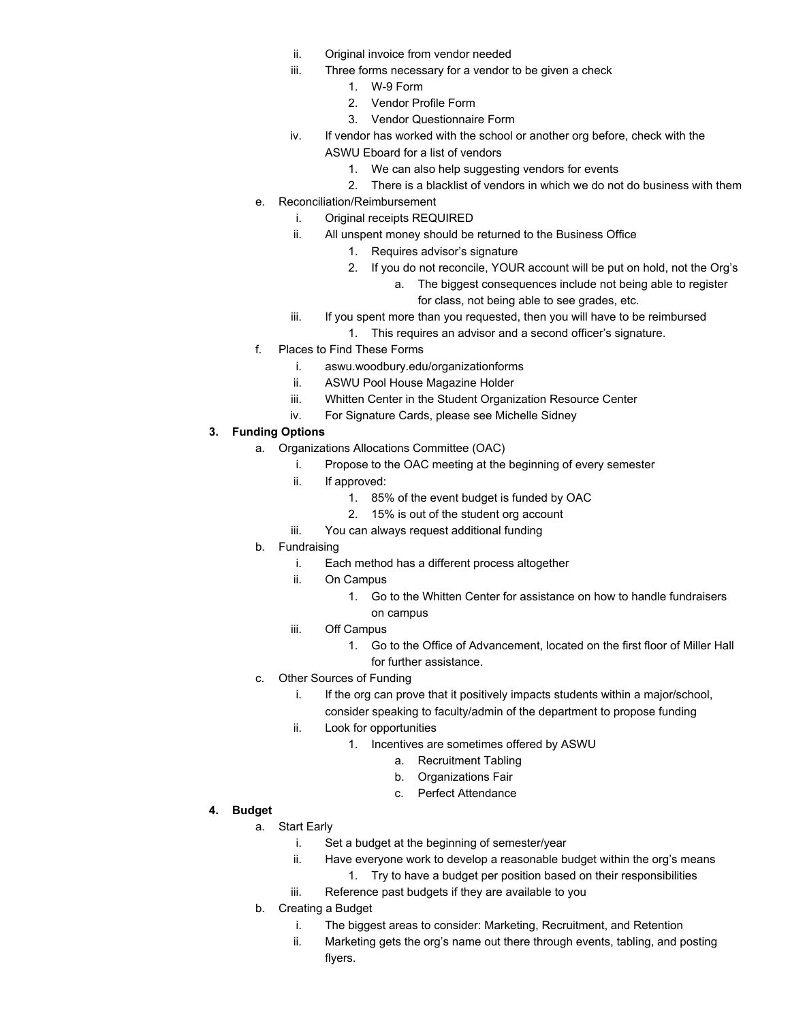- ii. Original invoice from vendor needed
- iii. Three forms necessary for a vendor to be given a check
	- 1. W-9 Form
	- 2. Vendor Profile Form
	- 3. Vendor Questionnaire Form
- iv. If vendor has worked with the school or another org before, check with the ASWU Eboard for a list of vendors
	- 1. We can also help suggesting vendors for events
	- 2. There is a blacklist of vendors in which we do not do business with them
- e. Reconciliation/Reimbursement
	- i. Original receipts REQUIRED
	- ii. All unspent money should be returned to the Business Office
		- 1. Requires advisor's signature
		- 2. If you do not reconcile, YOUR account will be put on hold, not the Org's
			- a. The biggest consequences include not being able to register for class, not being able to see grades, etc.
	- iii. If you spent more than you requested, then you will have to be reimbursed
		- 1. This requires an advisor and a second officer's signature.
- f. Places to Find These Forms
	- i. aswu.woodbury.edu/organizationforms
	- ii. ASWU Pool House Magazine Holder
	- iii. Whitten Center in the Student Organization Resource Center
	- iv. For Signature Cards, please see Michelle Sidney

## **3. Funding Options**

- a. Organizations Allocations Committee (OAC)
	- i. Propose to the OAC meeting at the beginning of every semester
	- ii. If approved:
		- 1. 85% of the event budget is funded by OAC
		- 2. 15% is out of the student org account
	- iii. You can always request additional funding
- b. Fundraising
	- i. Each method has a different process altogether
	- ii. On Campus
		- 1. Go to the Whitten Center for assistance on how to handle fundraisers on campus
	- iii. Off Campus
		- 1. Go to the Office of Advancement, located on the first floor of Miller Hall for further assistance.
- c. Other Sources of Funding
	- i. If the org can prove that it positively impacts students within a major/school, consider speaking to faculty/admin of the department to propose funding
	- ii. Look for opportunities
		- 1. Incentives are sometimes offered by ASWU
			- a. Recruitment Tabling
			- b. Organizations Fair
			- c. Perfect Attendance

- **4. Budget**
	- a. Start Early
		- i. Set a budget at the beginning of semester/year
		- ii. Have everyone work to develop a reasonable budget within the org's means
			- 1. Try to have a budget per position based on their responsibilities
		- iii. Reference past budgets if they are available to you
	- b. Creating a Budget
		- i. The biggest areas to consider: Marketing, Recruitment, and Retention
		- ii. Marketing gets the org's name out there through events, tabling, and posting flyers.